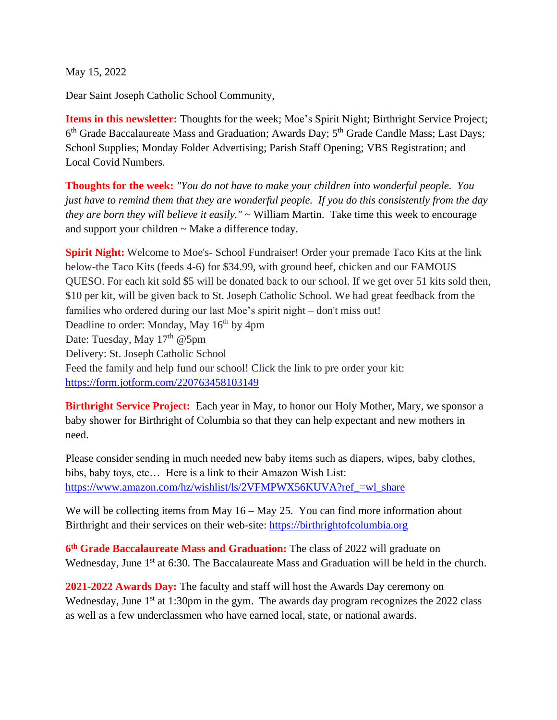May 15, 2022

Dear Saint Joseph Catholic School Community,

**Items in this newsletter:** Thoughts for the week; Moe's Spirit Night; Birthright Service Project; 6<sup>th</sup> Grade Baccalaureate Mass and Graduation; Awards Day; 5<sup>th</sup> Grade Candle Mass; Last Days; School Supplies; Monday Folder Advertising; Parish Staff Opening; VBS Registration; and Local Covid Numbers.

**Thoughts for the week:** *"You do not have to make your children into wonderful people. You just have to remind them that they are wonderful people. If you do this consistently from the day they are born they will believe it easily."* ~ William Martin. Take time this week to encourage and support your children ~ Make a difference today.

**Spirit Night:** Welcome to Moe's- School Fundraiser! Order your premade Taco Kits at the link below-the Taco Kits (feeds 4-6) for \$34.99, with ground beef, chicken and our FAMOUS QUESO. For each kit sold \$5 will be donated back to our school. If we get over 51 kits sold then, \$10 per kit, will be given back to St. Joseph Catholic School. We had great feedback from the families who ordered during our last Moe's spirit night – don't miss out! Deadline to order: Monday, May  $16<sup>th</sup>$  by 4pm Date: Tuesday, May 17<sup>th</sup> @5pm Delivery: St. Joseph Catholic School Feed the family and help fund our school! Click the link to pre order your kit: <https://form.jotform.com/220763458103149>

**Birthright Service Project:** Each year in May, to honor our Holy Mother, Mary, we sponsor a baby shower for Birthright of Columbia so that they can help expectant and new mothers in need.

Please consider sending in much needed new baby items such as diapers, wipes, baby clothes, bibs, baby toys, etc… Here is a link to their Amazon Wish List: https://www.amazon.com/hz/wishlist/ls/2VFMPWX56KUVA?ref =wl\_share

We will be collecting items from May  $16 -$ May 25. You can find more information about Birthright and their services on their web-site: [https://birthrightofcolumbia.org](https://birthrightofcolumbia.org/)

**6 th Grade Baccalaureate Mass and Graduation:** The class of 2022 will graduate on Wednesday, June 1<sup>st</sup> at 6:30. The Baccalaureate Mass and Graduation will be held in the church.

**2021-2022 Awards Day:** The faculty and staff will host the Awards Day ceremony on Wednesday, June  $1<sup>st</sup>$  at 1:30pm in the gym. The awards day program recognizes the 2022 class as well as a few underclassmen who have earned local, state, or national awards.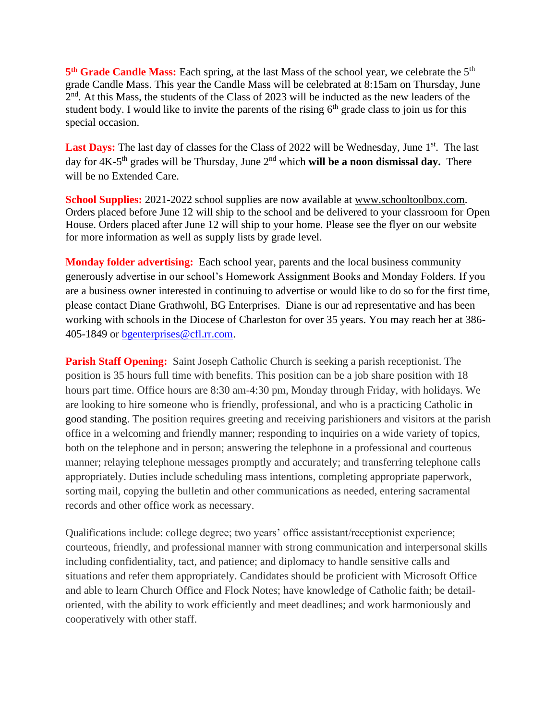5<sup>th</sup> Grade Candle Mass: Each spring, at the last Mass of the school year, we celebrate the 5<sup>th</sup> grade Candle Mass. This year the Candle Mass will be celebrated at 8:15am on Thursday, June 2<sup>nd</sup>. At this Mass, the students of the Class of 2023 will be inducted as the new leaders of the student body. I would like to invite the parents of the rising  $6<sup>th</sup>$  grade class to join us for this special occasion.

Last Days: The last day of classes for the Class of 2022 will be Wednesday, June 1<sup>st</sup>. The last day for 4K-5<sup>th</sup> grades will be Thursday, June 2<sup>nd</sup> which **will be a noon dismissal day.** There will be no Extended Care.

**School Supplies:** 2021-2022 school supplies are now available at [www.schooltoolbox.com.](http://www.schooltoolbox.com/) Orders placed before June 12 will ship to the school and be delivered to your classroom for Open House. Orders placed after June 12 will ship to your home. Please see the flyer on our website for more information as well as supply lists by grade level.

**Monday folder advertising:** Each school year, parents and the local business community generously advertise in our school's Homework Assignment Books and Monday Folders. If you are a business owner interested in continuing to advertise or would like to do so for the first time, please contact Diane Grathwohl, BG Enterprises. Diane is our ad representative and has been working with schools in the Diocese of Charleston for over 35 years. You may reach her at 386- 405-1849 or [bgenterprises@cfl.rr.com.](mailto:bgenterprises@cfl.rr.com)

**Parish Staff Opening:** Saint Joseph Catholic Church is seeking a parish receptionist. The position is 35 hours full time with benefits. This position can be a job share position with 18 hours part time. Office hours are 8:30 am-4:30 pm, Monday through Friday, with holidays. We are looking to hire someone who is friendly, professional, and who is a practicing Catholic in good standing. The position requires greeting and receiving parishioners and visitors at the parish office in a welcoming and friendly manner; responding to inquiries on a wide variety of topics, both on the telephone and in person; answering the telephone in a professional and courteous manner; relaying telephone messages promptly and accurately; and transferring telephone calls appropriately. Duties include scheduling mass intentions, completing appropriate paperwork, sorting mail, copying the bulletin and other communications as needed, entering sacramental records and other office work as necessary.

Qualifications include: college degree; two years' office assistant/receptionist experience; courteous, friendly, and professional manner with strong communication and interpersonal skills including confidentiality, tact, and patience; and diplomacy to handle sensitive calls and situations and refer them appropriately. Candidates should be proficient with Microsoft Office and able to learn Church Office and Flock Notes; have knowledge of Catholic faith; be detailoriented, with the ability to work efficiently and meet deadlines; and work harmoniously and cooperatively with other staff.